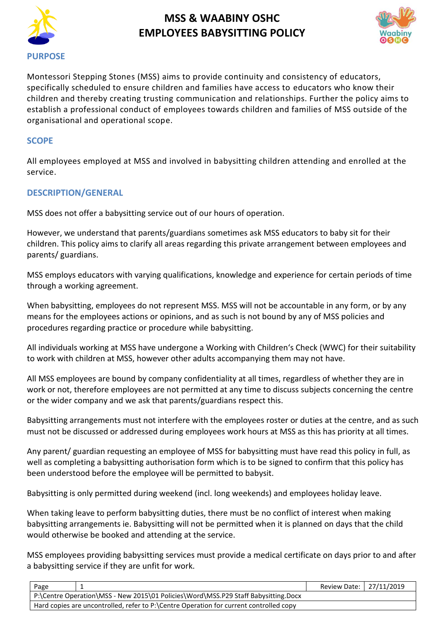

# **MSS & WAABINY OSHC EMPLOYEES BABYSITTING POLICY**



Montessori Stepping Stones (MSS) aims to provide continuity and consistency of educators, specifically scheduled to ensure children and families have access to educators who know their children and thereby creating trusting communication and relationships. Further the policy aims to establish a professional conduct of employees towards children and families of MSS outside of the organisational and operational scope.

### **SCOPE**

All employees employed at MSS and involved in babysitting children attending and enrolled at the service.

## **DESCRIPTION/GENERAL**

MSS does not offer a babysitting service out of our hours of operation.

However, we understand that parents/guardians sometimes ask MSS educators to baby sit for their children. This policy aims to clarify all areas regarding this private arrangement between employees and parents/ guardians.

MSS employs educators with varying qualifications, knowledge and experience for certain periods of time through a working agreement.

When babysitting, employees do not represent MSS. MSS will not be accountable in any form, or by any means for the employees actions or opinions, and as such is not bound by any of MSS policies and procedures regarding practice or procedure while babysitting.

All individuals working at MSS have undergone a Working with Children's Check (WWC) for their suitability to work with children at MSS, however other adults accompanying them may not have.

All MSS employees are bound by company confidentiality at all times, regardless of whether they are in work or not, therefore employees are not permitted at any time to discuss subjects concerning the centre or the wider company and we ask that parents/guardians respect this.

Babysitting arrangements must not interfere with the employees roster or duties at the centre, and as such must not be discussed or addressed during employees work hours at MSS as this has priority at all times.

Any parent/ guardian requesting an employee of MSS for babysitting must have read this policy in full, as well as completing a babysitting authorisation form which is to be signed to confirm that this policy has been understood before the employee will be permitted to babysit.

Babysitting is only permitted during weekend (incl. long weekends) and employees holiday leave.

When taking leave to perform babysitting duties, there must be no conflict of interest when making babysitting arrangements ie. Babysitting will not be permitted when it is planned on days that the child would otherwise be booked and attending at the service.

MSS employees providing babysitting services must provide a medical certificate on days prior to and after a babysitting service if they are unfit for work.

| Page                                                                               |                                                                                        | Review Date: 27/11/2019 |  |  |
|------------------------------------------------------------------------------------|----------------------------------------------------------------------------------------|-------------------------|--|--|
| P:\Centre Operation\MSS - New 2015\01 Policies\Word\MSS.P29 Staff Babysitting.Docx |                                                                                        |                         |  |  |
|                                                                                    | Hard copies are uncontrolled, refer to P:\Centre Operation for current controlled copy |                         |  |  |